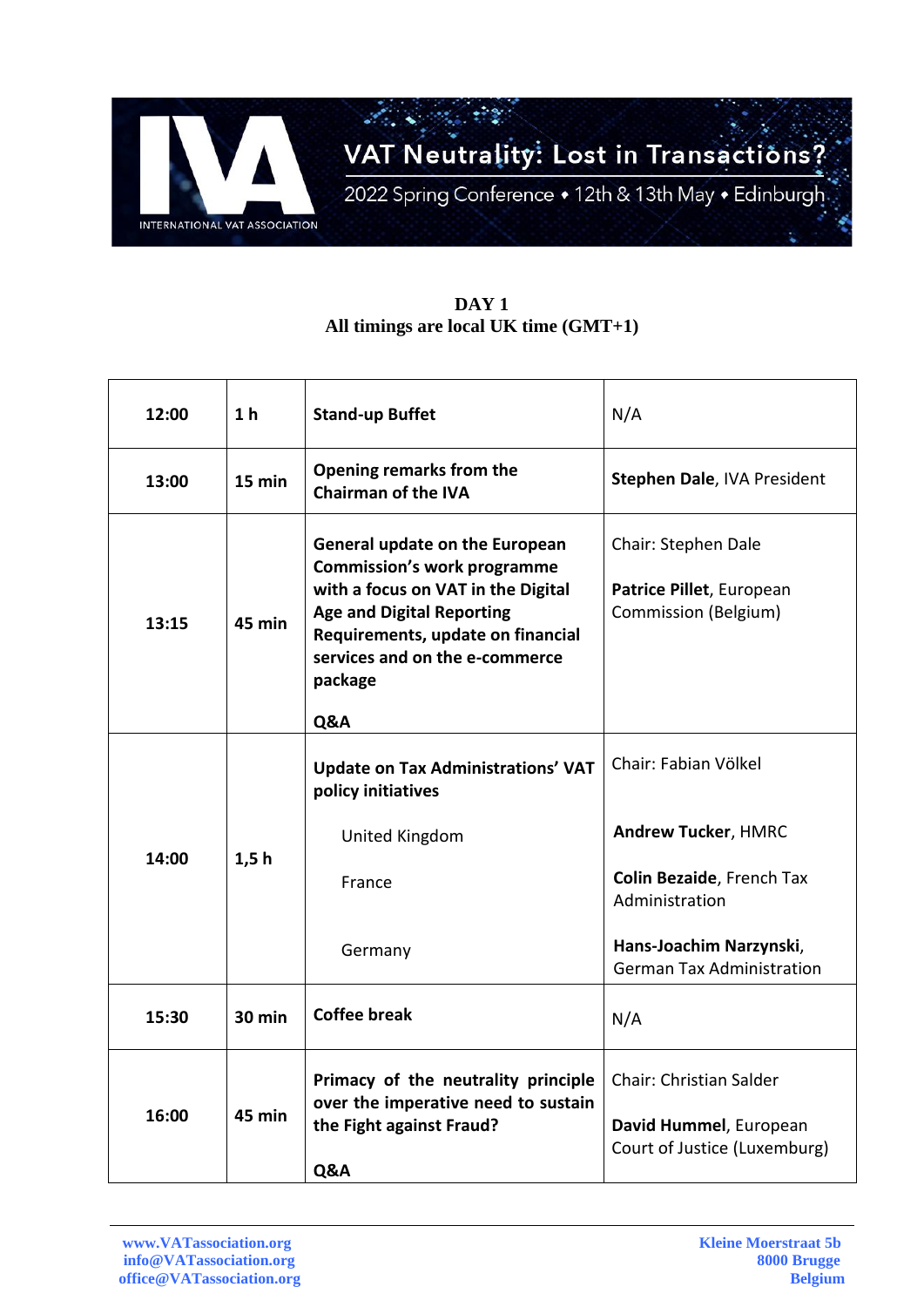

## **DAY 1 All timings are local UK time (GMT+1)**

| 12:00 | 1 <sub>h</sub> | <b>Stand-up Buffet</b>                                                                                                                                                                                                                  | N/A                                                                                      |
|-------|----------------|-----------------------------------------------------------------------------------------------------------------------------------------------------------------------------------------------------------------------------------------|------------------------------------------------------------------------------------------|
| 13:00 | 15 min         | Opening remarks from the<br><b>Chairman of the IVA</b>                                                                                                                                                                                  | Stephen Dale, IVA President                                                              |
| 13:15 | 45 min         | <b>General update on the European</b><br><b>Commission's work programme</b><br>with a focus on VAT in the Digital<br><b>Age and Digital Reporting</b><br>Requirements, update on financial<br>services and on the e-commerce<br>package | Chair: Stephen Dale<br>Patrice Pillet, European<br>Commission (Belgium)                  |
|       |                | Q&A                                                                                                                                                                                                                                     |                                                                                          |
| 14:00 | 1,5h           | <b>Update on Tax Administrations' VAT</b><br>policy initiatives                                                                                                                                                                         | Chair: Fabian Völkel                                                                     |
|       |                | United Kingdom                                                                                                                                                                                                                          | <b>Andrew Tucker, HMRC</b>                                                               |
|       |                | France                                                                                                                                                                                                                                  | Colin Bezaide, French Tax<br>Administration                                              |
|       |                | Germany                                                                                                                                                                                                                                 | Hans-Joachim Narzynski,<br><b>German Tax Administration</b>                              |
| 15:30 | $30$ min       | <b>Coffee break</b>                                                                                                                                                                                                                     | N/A                                                                                      |
| 16:00 | 45 min         | Primacy of the neutrality principle<br>over the imperative need to sustain<br>the Fight against Fraud?<br>Q&A                                                                                                                           | <b>Chair: Christian Salder</b><br>David Hummel, European<br>Court of Justice (Luxemburg) |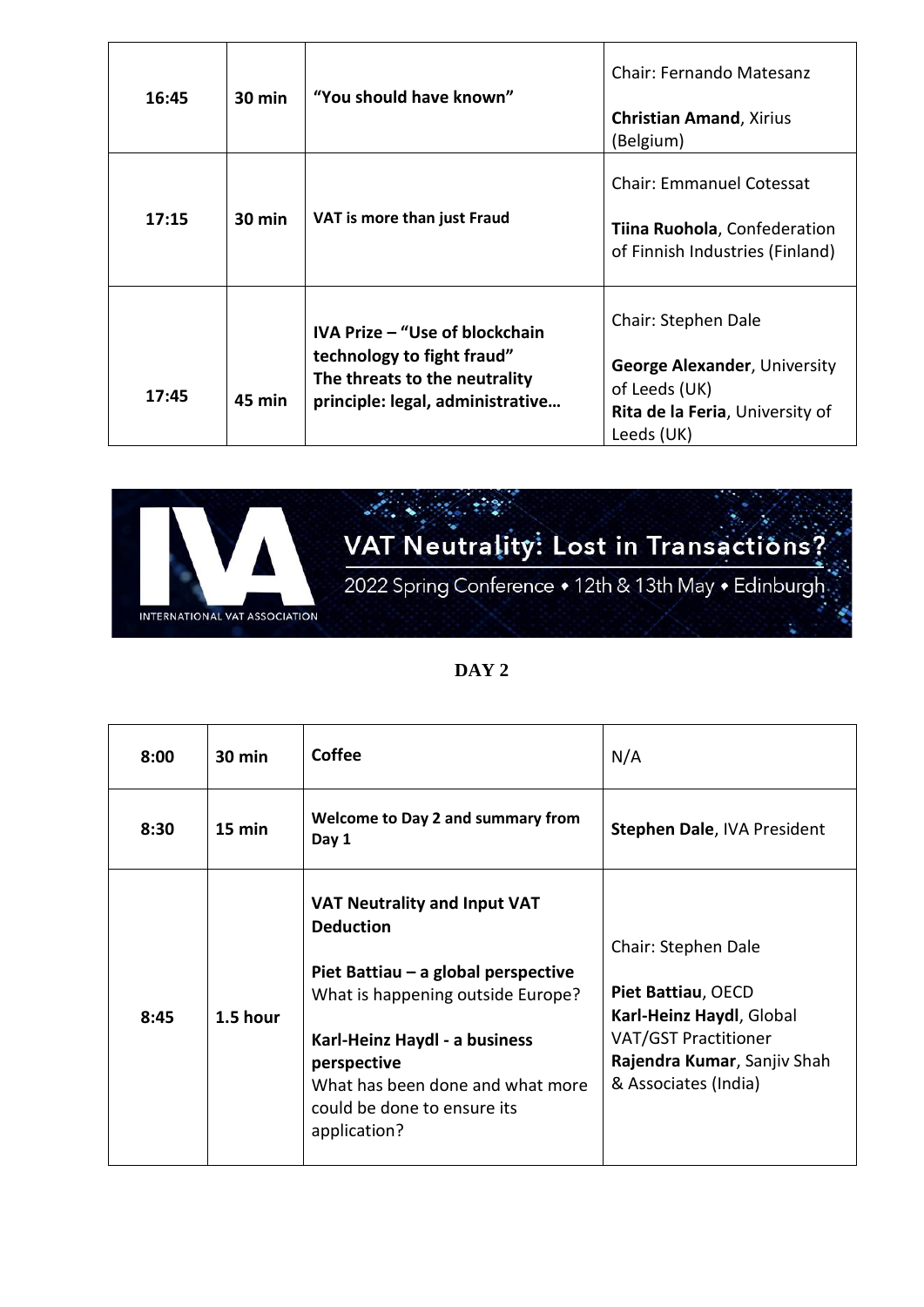| 16:45 | <b>30 min</b>    | "You should have known"                                                                                                           | <b>Chair: Fernando Matesanz</b><br><b>Christian Amand, Xirius</b><br>(Belgium)                                               |
|-------|------------------|-----------------------------------------------------------------------------------------------------------------------------------|------------------------------------------------------------------------------------------------------------------------------|
| 17:15 | $30 \text{ min}$ | VAT is more than just Fraud                                                                                                       | <b>Chair: Emmanuel Cotessat</b><br>Tiina Ruohola, Confederation<br>of Finnish Industries (Finland)                           |
| 17:45 | 45 min           | IVA Prize - "Use of blockchain<br>technology to fight fraud"<br>The threats to the neutrality<br>principle: legal, administrative | Chair: Stephen Dale<br><b>George Alexander, University</b><br>of Leeds (UK)<br>Rita de la Feria, University of<br>Leeds (UK) |



| 8:00 | $30 \text{ min}$ | Coffee                                                                                                                                                                                                                                                                 | N/A                                                                                                                                                         |
|------|------------------|------------------------------------------------------------------------------------------------------------------------------------------------------------------------------------------------------------------------------------------------------------------------|-------------------------------------------------------------------------------------------------------------------------------------------------------------|
| 8:30 | $15 \text{ min}$ | <b>Welcome to Day 2 and summary from</b><br>Day 1                                                                                                                                                                                                                      | Stephen Dale, IVA President                                                                                                                                 |
| 8:45 | 1.5 hour         | <b>VAT Neutrality and Input VAT</b><br><b>Deduction</b><br>Piet Battiau – a global perspective<br>What is happening outside Europe?<br>Karl-Heinz Haydl - a business<br>perspective<br>What has been done and what more<br>could be done to ensure its<br>application? | Chair: Stephen Dale<br>Piet Battiau, OECD<br>Karl-Heinz Haydl, Global<br><b>VAT/GST Practitioner</b><br>Rajendra Kumar, Sanjiv Shah<br>& Associates (India) |